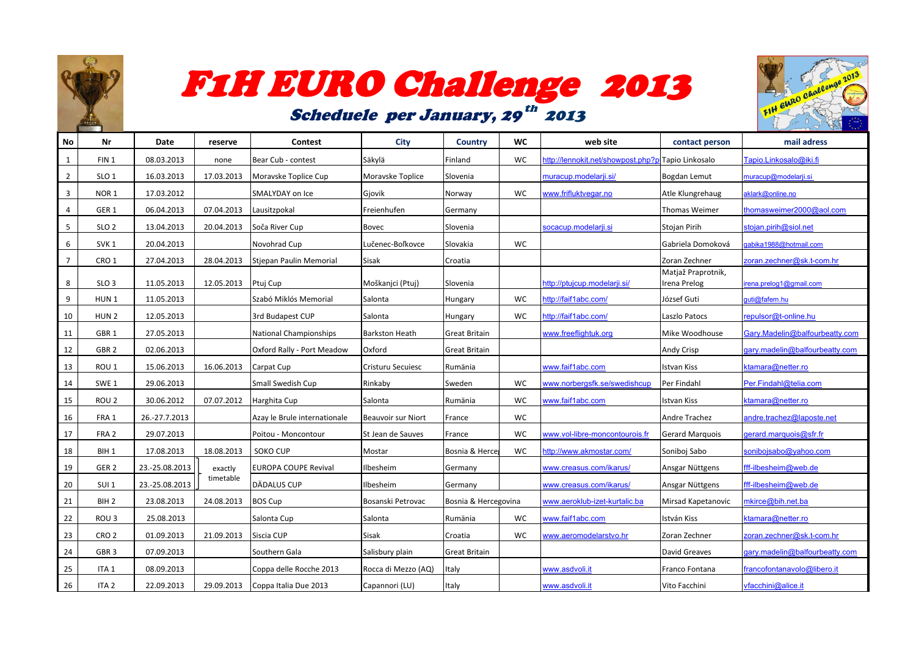

# F1H EURO Challenge 2013

## Scheduele per January, 29<sup>th</sup> 2013



| No             | Nr               | Date           | reserve               | Contest                            | <b>City</b>           | <b>Country</b>       | WC        | web site                                          | contact person                     | mail adress                    |
|----------------|------------------|----------------|-----------------------|------------------------------------|-----------------------|----------------------|-----------|---------------------------------------------------|------------------------------------|--------------------------------|
| $\overline{1}$ | FIN <sub>1</sub> | 08.03.2013     | none                  | Bear Cub - contest                 | Säkylä                | Finland              | <b>WC</b> | ttp://lennokit.net/showpost.php?p:Tapio Linkosalo |                                    | Fapio.Linkosalo@iki.fi         |
| $\overline{2}$ | SLO <sub>1</sub> | 16.03.2013     | 17.03.2013            | Moravske Toplice Cup               | Moravske Toplice      | Slovenia             |           | nuracup.modelarji.si/                             | Bogdan Lemut                       | muracup@modelarji.si           |
| $\overline{3}$ | NOR <sub>1</sub> | 17.03.2012     |                       | SMALYDAY on Ice                    | Gjovik                | Norway               | WC        | www.frifluktvegar.no                              | Atle Klungrehaug                   | aklark@online.no               |
| $\overline{4}$ | GER <sub>1</sub> | 06.04.2013     |                       | 07.04.2013 Lausitzpokal            | Freienhufen           | Germany              |           |                                                   | <b>Thomas Weimer</b>               | thomasweimer2000@aol.com       |
| 5              | SLO <sub>2</sub> | 13.04.2013     |                       | 20.04.2013 Soča River Cup          | Bovec                 | Slovenia             |           | ocacup.modelarii.si                               | Stojan Pirih                       | stojan.pirih@siol.net          |
| 6              | SVK <sub>1</sub> | 20.04.2013     |                       | Novohrad Cup                       | Lučenec-Boľkovce      | Slovakia             | <b>WC</b> |                                                   | Gabriela Domoková                  | abika1988@hotmail.com          |
| $\overline{7}$ | CRO <sub>1</sub> | 27.04.2013     |                       | 28.04.2013 Stiepan Paulin Memorial | Sisak                 | Croatia              |           |                                                   | Zoran Zechner                      | zoran.zechner@sk.t-com.hr      |
| 8              | SLO <sub>3</sub> | 11.05.2013     | 12.05.2013 Ptuj Cup   |                                    | Moškanjci (Ptuj)      | Slovenia             |           | ttp://ptujcup.modelarji.si/                       | Matjaž Praprotnik,<br>Irena Prelog | rena.prelog1@gmail.com         |
| -9             | HUN <sub>1</sub> | 11.05.2013     |                       | Szabó Miklós Memorial              | Salonta               | Hungary              | <b>WC</b> | http://faif1abc.com/                              | József Guti                        | quti@fafem.hu                  |
| 10             | HUN <sub>2</sub> | 12.05.2013     |                       | 3rd Budapest CUP                   | Salonta               | Hungary              | <b>WC</b> | http://faif1abc.com/                              | Laszlo Patocs                      | repulsor@t-online.hu           |
| 11             | GBR <sub>1</sub> | 27.05.2013     |                       | <b>National Championships</b>      | <b>Barkston Heath</b> | <b>Great Britain</b> |           | www.freeflightuk.org                              | Mike Woodhouse                     | Gary.Madelin@balfourbeatty.com |
| 12             | GBR <sub>2</sub> | 02.06.2013     |                       | Oxford Rally - Port Meadow         | Oxford                | <b>Great Britain</b> |           |                                                   | <b>Andy Crisp</b>                  | gary.madelin@balfourbeatty.com |
| 13             | ROU <sub>1</sub> | 15.06.2013     | 16.06.2013 Carpat Cup |                                    | Cristuru Secuiesc     | Rumänia              |           | www.faif1abc.com                                  | Istvan Kiss                        | ktamara@netter.ro              |
| 14             | SWE <sub>1</sub> | 29.06.2013     |                       | Small Swedish Cup                  | Rinkaby               | Sweden               | <b>WC</b> | www.norbergsfk.se/swedishcup                      | Per Findahl                        | Per.Findahl@telia.com          |
| 15             | ROU <sub>2</sub> | 30.06.2012     |                       | 07.07.2012   Harghita Cup          | Salonta               | Rumänia              | <b>WC</b> | www.faif1abc.com                                  | Istvan Kiss                        | ktamara@netter.ro              |
| 16             | FRA 1            | 26.-27.7.2013  |                       | Azay le Brule internationale       | Beauvoir sur Niort    | France               | <b>WC</b> |                                                   | Andre Trachez                      | andre.trachez@laposte.net      |
| 17             | FRA 2            | 29.07.2013     |                       | Poitou - Moncontour                | St Jean de Sauves     | France               | <b>WC</b> | www.vol-libre-moncontourois.fr                    | <b>Gerard Marquois</b>             | gerard.marquois@sfr.fr         |
| 18             | BIH <sub>1</sub> | 17.08.2013     | 18.08.2013   SOKO CUP |                                    | Mostar                | Bosnia & Herce       | <b>WC</b> | http://www.akmostar.com/                          | Soniboj Sabo                       | sonibojsabo@yahoo.com          |
| 19             | GER <sub>2</sub> | 23.-25.08.2013 | exactly               | <b>EUROPA COUPE Revival</b>        | Ilbesheim             | Germany              |           | www.creasus.com/ikarus/                           | Ansgar Nüttgens                    | fff-ilbesheim@web.de           |
| 20             | SUI <sub>1</sub> | 23.-25.08.2013 | timetable             | DÄDALUS CUP                        | Ilbesheim             | Germany              |           | www.creasus.com/ikarus/                           | Ansgar Nüttgens                    | fff-ilbesheim@web.de           |
| 21             | BIH <sub>2</sub> | 23.08.2013     | 24.08.2013            | <b>BOS Cup</b>                     | Bosanski Petrovac     | Bosnia & Hercegovina |           | vww.aeroklub-izet-kurtalic.ba                     | Mirsad Kapetanovic                 | nkirce@bih.net.ba              |
| 22             | ROU <sub>3</sub> | 25.08.2013     |                       | Salonta Cup                        | Salonta               | Rumänia              | WC        | www.faif1abc.com                                  | István Kiss                        | ktamara@netter.ro              |
| 23             | CRO <sub>2</sub> | 01.09.2013     | 21.09.2013 Siscia CUP |                                    | Sisak                 | Croatia              | <b>WC</b> | www.aeromodelarstvo.hr                            | Zoran Zechner                      | zoran.zechner@sk.t-com.hr      |
| 24             | GBR <sub>3</sub> | 07.09.2013     |                       | Southern Gala                      | Salisbury plain       | <b>Great Britain</b> |           |                                                   | <b>David Greaves</b>               | gary.madelin@balfourbeatty.com |
| 25             | ITA <sub>1</sub> | 08.09.2013     |                       | Coppa delle Rocche 2013            | Rocca di Mezzo (AQ)   | Italy                |           | www.asdvoli.it                                    | Franco Fontana                     | francofontanavolo@libero.it    |
| 26             | ITA <sub>2</sub> | 22.09.2013     |                       | 29.09.2013 Coppa Italia Due 2013   | Capannori (LU)        | Italy                |           | www.asdvoli.it                                    | Vito Facchini                      | vfacchini@alice.it             |